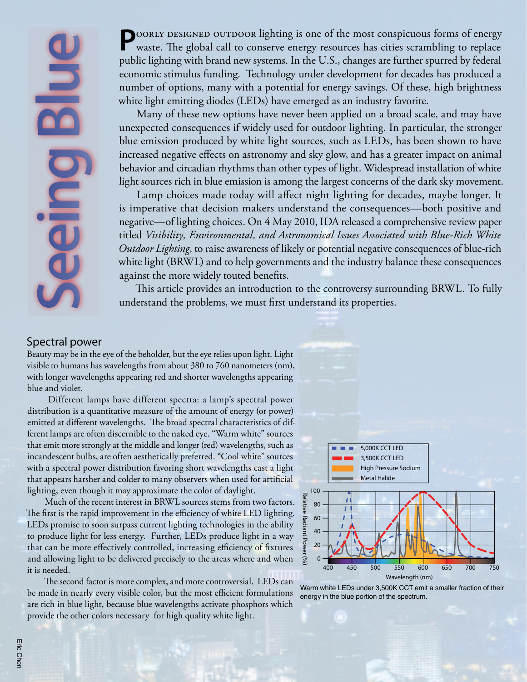**Seeing Blue**

**POORLY DESIGNED OUTDOOR lighting is one of the most conspicuous forms of energy** waste. The global call to conserve energy resources has cities scrambling to replace public lighting with brand new systems. In the U.S., changes are further spurred by federal economic stimulus funding. Technology under development for decades has produced a number of options, many with a potential for energy savings. Of these, high brightness white light emitting diodes (LEDs) have emerged as an industry favorite.

Many of these new options have never been applied on a broad scale, and may have unexpected consequences if widely used for outdoor lighting. In particular, the stronger blue emission produced by white light sources, such as LEDs, has been shown to have increased negative effects on astronomy and sky glow, and has a greater impact on animal behavior and circadian rhythms than other types of light. Widespread installation of white light sources rich in blue emission is among the largest concerns of the dark sky movement.

Lamp choices made today will affect night lighting for decades, maybe longer. It is imperative that decision makers understand the consequences—both positive and negative—of lighting choices. On 4 May 2010, IDA released a comprehensive review paper titled *Visibility, Environmental, and Astronomical Issues Associated with Blue-Rich White Outdoor Lighting*, to raise awareness of likely or potential negative consequences of blue-rich white light (BRWL) and to help governments and the industry balance these consequences against the more widely touted benefits.

This article provides an introduction to the controversy surrounding BRWL. To fully understand the problems, we must first understand its properties.

#### Spectral power

Beauty may be in the eye of the beholder, but the eye relies upon light. Light visible to humans has wavelengths from about 380 to 760 nanometers (nm), with longer wavelengths appearing red and shorter wavelengths appearing blue and violet.

 Different lamps have different spectra: a lamp's spectral power distribution is a quantitative measure of the amount of energy (or power) emitted at different wavelengths. The broad spectral characteristics of different lamps are often discernible to the naked eye. "Warm white" sources that emit more strongly at the middle and longer (red) wavelengths, such as incandescent bulbs, are often aesthetically preferred. "Cool white" sources with a spectral power distribution favoring short wavelengths cast a light that appears harsher and colder to many observers when used for artificial lighting, even though it may approximate the color of daylight.

Much of the recent interest in BRWL sources stems from two factors. The first is the rapid improvement in the efficiency of white LED lighting. LEDs promise to soon surpass current lighting technologies in the ability to produce light for less energy. Further, LEDs produce light in a way that can be more effectively controlled, increasing efficiency of fixtures and allowing light to be delivered precisely to the areas where and when it is needed.

The second factor is more complex, and more controversial. LEDs can be made in nearly every visible color, but the most efficient formulations are rich in blue light, because blue wavelengths activate phosphors which provide the other colors necessary for high quality white light.



Warm white LEDs under 3,500K CCT emit a smaller fraction of their energy in the blue portion of the spectrum.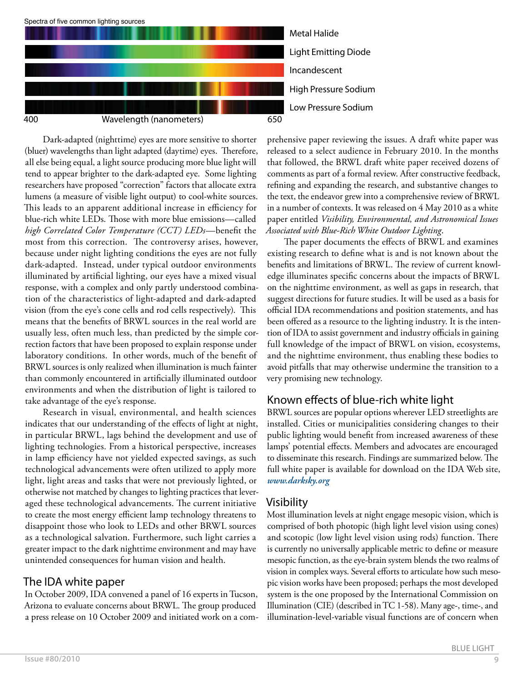

Dark-adapted (nighttime) eyes are more sensitive to shorter (bluer) wavelengths than light adapted (daytime) eyes. Therefore, all else being equal, a light source producing more blue light will tend to appear brighter to the dark-adapted eye. Some lighting researchers have proposed "correction" factors that allocate extra lumens (a measure of visible light output) to cool-white sources. This leads to an apparent additional increase in efficiency for blue-rich white LEDs. Those with more blue emissions—called *high Correlated Color Temperature (CCT) LEDs*—benefit the most from this correction. The controversy arises, however, because under night lighting conditions the eyes are not fully dark-adapted. Instead, under typical outdoor environments illuminated by artificial lighting, our eyes have a mixed visual response, with a complex and only partly understood combination of the characteristics of light-adapted and dark-adapted vision (from the eye's cone cells and rod cells respectively). This means that the benefits of BRWL sources in the real world are usually less, often much less, than predicted by the simple correction factors that have been proposed to explain response under laboratory conditions. In other words, much of the benefit of BRWL sources is only realized when illumination is much fainter than commonly encountered in artificially illuminated outdoor environments and when the distribution of light is tailored to take advantage of the eye's response.

Research in visual, environmental, and health sciences indicates that our understanding of the effects of light at night, in particular BRWL, lags behind the development and use of lighting technologies. From a historical perspective, increases in lamp efficiency have not yielded expected savings, as such technological advancements were often utilized to apply more light, light areas and tasks that were not previously lighted, or otherwise not matched by changes to lighting practices that leveraged these technological advancements. The current initiative to create the most energy efficient lamp technology threatens to disappoint those who look to LEDs and other BRWL sources as a technological salvation. Furthermore, such light carries a greater impact to the dark nighttime environment and may have unintended consequences for human vision and health.

#### The IDA white paper

In October 2009, IDA convened a panel of 16 experts in Tucson, Arizona to evaluate concerns about BRWL. The group produced a press release on 10 October 2009 and initiated work on a com-

prehensive paper reviewing the issues. A draft white paper was released to a select audience in February 2010. In the months that followed, the BRWL draft white paper received dozens of comments as part of a formal review. After constructive feedback, refining and expanding the research, and substantive changes to the text, the endeavor grew into a comprehensive review of BRWL in a number of contexts. It was released on 4 May 2010 as a white paper entitled *Visibility, Environmental, and Astronomical Issues Associated with Blue-Rich White Outdoor Lighting*.

The paper documents the effects of BRWL and examines existing research to define what is and is not known about the benefits and limitations of BRWL. The review of current knowledge illuminates specific concerns about the impacts of BRWL on the nighttime environment, as well as gaps in research, that suggest directions for future studies. It will be used as a basis for official IDA recommendations and position statements, and has been offered as a resource to the lighting industry. It is the intention of IDA to assist government and industry officials in gaining full knowledge of the impact of BRWL on vision, ecosystems, and the nighttime environment, thus enabling these bodies to avoid pitfalls that may otherwise undermine the transition to a very promising new technology.

# Known effects of blue-rich white light

BRWL sources are popular options wherever LED streetlights are installed. Cities or municipalities considering changes to their public lighting would benefit from increased awareness of these lamps' potential effects. Members and advocates are encouraged to disseminate this research. Findings are summarized below. The full white paper is available for download on the IDA Web site, *www.darksky.org*

# Visibility

Most illumination levels at night engage mesopic vision, which is comprised of both photopic (high light level vision using cones) and scotopic (low light level vision using rods) function. There is currently no universally applicable metric to define or measure mesopic function, as the eye-brain system blends the two realms of vision in complex ways. Several efforts to articulate how such mesopic vision works have been proposed; perhaps the most developed system is the one proposed by the International Commission on Illumination (CIE) (described in TC 1-58). Many age-, time-, and illumination-level-variable visual functions are of concern when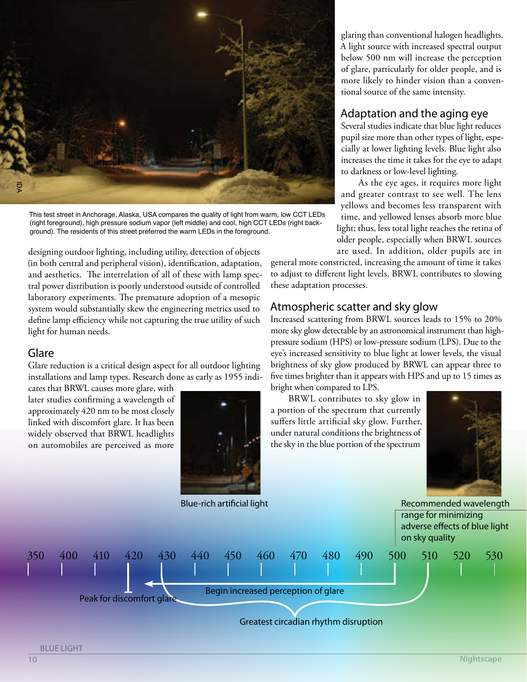

This test street in Anchorage, Alaska, USA compares the quality of light from warm, low CCT LEDs (right foreground), high pressure sodium vapor (left middle) and cool, high CCT LEDs (right background). The residents of this street preferred the warm LEDs in the foreground.

designing outdoor lighting, including utility, detection of objects (in both central and peripheral vision), identification, adaptation, and aesthetics. The interrelation of all of these with lamp spectral power distribution is poorly understood outside of controlled laboratory experiments. The premature adoption of a mesopic system would substantially skew the engineering metrics used to define lamp efficiency while not capturing the true utility of such light for human needs.

#### Glare

Glare reduction is a critical design aspect for all outdoor lighting installations and lamp types. Research done as early as 1955 indi-

cates that BRWL causes more glare, with later studies confirming a wavelength of approximately 420 nm to be most closely linked with discomfort glare. It has been widely observed that BRWL headlights on automobiles are perceived as more



glaring than conventional halogen headlights. A light source with increased spectral output below 500 nm will increase the perception of glare, particularly for older people, and is more likely to hinder vision than a conventional source of the same intensity.

# Adaptation and the aging eye

Several studies indicate that blue light reduces pupil size more than other types of light, especially at lower lighting levels. Blue light also increases the time it takes for the eye to adapt to darkness or low-level lighting.

As the eye ages, it requires more light and greater contrast to see well. The lens yellows and becomes less transparent with time, and yellowed lenses absorb more blue light; thus, less total light reaches the retina of older people, especially when BRWL sources are used. In addition, older pupils are in

general more constricted, increasing the amount of time it takes to adjust to different light levels. BRWL contributes to slowing these adaptation processes.

#### Atmospheric scatter and sky glow

Increased scattering from BRWL sources leads to 15% to 20% more sky glow detectable by an astronomical instrument than highpressure sodium (HPS) or low-pressure sodium (LPS). Due to the eye's increased sensitivity to blue light at lower levels, the visual brightness of sky glow produced by BRWL can appear three to five times brighter than it appears with HPS and up to 15 times as bright when compared to LPS.

BRWL contributes to sky glow in a portion of the spectrum that currently suffers little artificial sky glow. Further, under natural conditions the brightness of the sky in the blue portion of the spectrum



Blue-rich artificial light **Recommended wavelength** Recommended wavelength range for minimizing adverse effects of blue light



#### BLUE LIGHT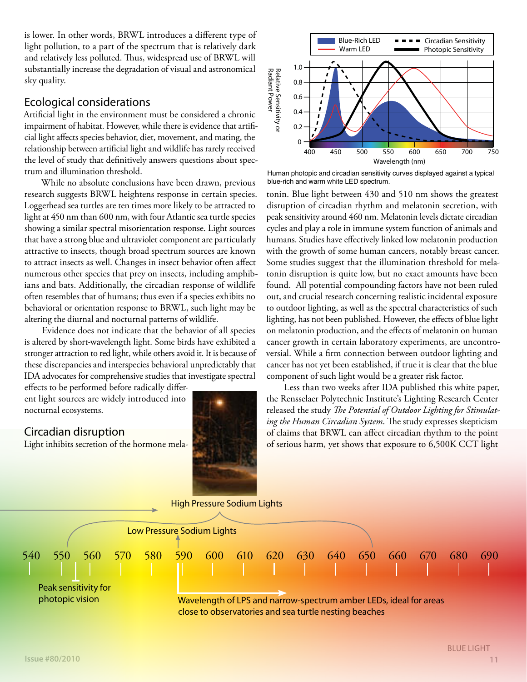is lower. In other words, BRWL introduces a different type of light pollution, to a part of the spectrum that is relatively dark and relatively less polluted. Thus, widespread use of BRWL will substantially increase the degradation of visual and astronomical sky quality.

#### Ecological considerations

Artificial light in the environment must be considered a chronic impairment of habitat. However, while there is evidence that artificial light affects species behavior, diet, movement, and mating, the relationship between artificial light and wildlife has rarely received the level of study that definitively answers questions about spectrum and illumination threshold.

While no absolute conclusions have been drawn, previous research suggests BRWL heightens response in certain species. Loggerhead sea turtles are ten times more likely to be attracted to light at 450 nm than 600 nm, with four Atlantic sea turtle species showing a similar spectral misorientation response. Light sources that have a strong blue and ultraviolet component are particularly attractive to insects, though broad spectrum sources are known to attract insects as well. Changes in insect behavior often affect numerous other species that prey on insects, including amphibians and bats. Additionally, the circadian response of wildlife often resembles that of humans; thus even if a species exhibits no behavioral or orientation response to BRWL, such light may be altering the diurnal and nocturnal patterns of wildlife.

Evidence does not indicate that the behavior of all species is altered by short-wavelength light. Some birds have exhibited a stronger attraction to red light, while others avoid it. It is because of these discrepancies and interspecies behavioral unpredictably that IDA advocates for comprehensive studies that investigate spectral

effects to be performed before radically different light sources are widely introduced into nocturnal ecosystems.

# Circadian disruption

Light inhibits secretion of the hormone mela-





Human photopic and circadian sensitivity curves displayed against a typical blue-rich and warm white LED spectrum.

tonin. Blue light between 430 and 510 nm shows the greatest disruption of circadian rhythm and melatonin secretion, with peak sensitivity around 460 nm. Melatonin levels dictate circadian cycles and play a role in immune system function of animals and humans. Studies have effectively linked low melatonin production with the growth of some human cancers, notably breast cancer. Some studies suggest that the illumination threshold for melatonin disruption is quite low, but no exact amounts have been found. All potential compounding factors have not been ruled out, and crucial research concerning realistic incidental exposure to outdoor lighting, as well as the spectral characteristics of such lighting, has not been published. However, the effects of blue light on melatonin production, and the effects of melatonin on human cancer growth in certain laboratory experiments, are uncontroversial. While a firm connection between outdoor lighting and cancer has not yet been established, if true it is clear that the blue component of such light would be a greater risk factor.

Less than two weeks after IDA published this white paper, the Rensselaer Polytechnic Institute's Lighting Research Center released the study The Potential of Outdoor Lighting for Stimulat*ing the Human Circadian System*. The study expresses skepticism of claims that BRWL can affect circadian rhythm to the point of serious harm, yet shows that exposure to 6,500K CCT light

High Pressure Sodium Lights